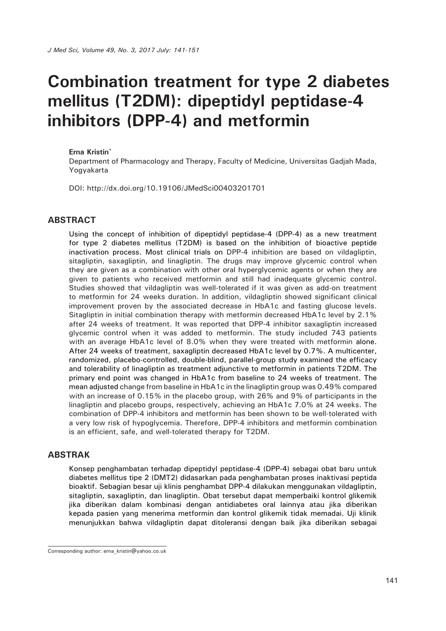# **Combination treatment for type 2 diabetes mellitus (T2DM): dipeptidyl peptidase-4 inhibitors (DPP-4) and metformin**

#### **Erna Kristin\***

Department of Pharmacology and Therapy, Faculty of Medicine, Universitas Gadjah Mada, Yogyakarta

DOI: http://dx.doi.org/10.19106/JMedSci00403201701

#### **ABSTRACT**

Using the concept of inhibition of dipeptidyl peptidase-4 (DPP-4) as a new treatment for type 2 diabetes mellitus (T2DM) is based on the inhibition of bioactive peptide inactivation process. Most clinical trials on DPP-4 inhibition are based on vildagliptin, sitagliptin, saxagliptin, and linagliptin. The drugs may improve glycemic control when they are given as a combination with other oral hyperglycemic agents or when they are given to patients who received metformin and still had inadequate glycemic control. Studies showed that vildagliptin was well-tolerated if it was given as add-on treatment to metformin for 24 weeks duration. In addition, vildagliptin showed significant clinical improvement proven by the associated decrease in HbA1c and fasting glucose levels. Sitagliptin in initial combination therapy with metformin decreased HbA1c level by 2.1% after 24 weeks of treatment. It was reported that DPP-4 inhibitor saxagliptin increased glycemic control when it was added to metformin. The study included 743 patients with an average HbA1c level of 8.0% when they were treated with metformin alone. After 24 weeks of treatment, saxagliptin decreased HbA1c level by 0.7%. A multicenter, randomized, placebo-controlled, double-blind, parallel-group study examined the efficacy and tolerability of linagliptin as treatment adjunctive to metformin in patients T2DM. The primary end point was changed in HbA1c from baseline to 24 weeks of treatment. The mean adjusted change from baseline in HbA1c in the linagliptin group was 0.49% compared with an increase of 0.15% in the placebo group, with 26% and 9% of participants in the linagliptin and placebo groups, respectively, achieving an HbA1c 7.0% at 24 weeks. The combination of DPP-4 inhibitors and metformin has been shown to be well-tolerated with a very low risk of hypoglycemia. Therefore, DPP-4 inhibitors and metformin combination is an efficient, safe, and well-tolerated therapy for T2DM.

#### **ABSTRAK**

Konsep penghambatan terhadap dipeptidyl peptidase-4 (DPP-4) sebagai obat baru untuk diabetes mellitus tipe 2 (DMT2) didasarkan pada penghambatan proses inaktivasi peptida bioaktif. Sebagian besar uji klinis penghambat DPP-4 dilakukan menggunakan vildagliptin, sitagliptin, saxagliptin, dan linagliptin. Obat tersebut dapat memperbaiki kontrol glikemik jika diberikan dalam kombinasi dengan antidiabetes oral lainnya atau jika diberikan kepada pasien yang menerima metformin dan kontrol glikemik tidak memadai. Uji klinik menunjukkan bahwa vildagliptin dapat ditoleransi dengan baik jika diberikan sebagai

Corresponding author: erna\_kristin@yahoo.co.uk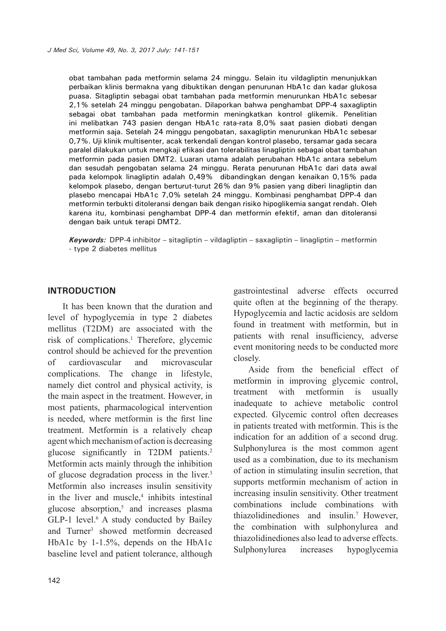obat tambahan pada metformin selama 24 minggu. Selain itu vildagliptin menunjukkan perbaikan klinis bermakna yang dibuktikan dengan penurunan HbA1c dan kadar glukosa puasa. Sitagliptin sebagai obat tambahan pada metformin menurunkan HbA1c sebesar 2,1% setelah 24 minggu pengobatan. Dilaporkan bahwa penghambat DPP-4 saxagliptin sebagai obat tambahan pada metformin meningkatkan kontrol glikemik. Penelitian ini melibatkan 743 pasien dengan HbA1c rata-rata 8,0% saat pasien diobati dengan metformin saja. Setelah 24 minggu pengobatan, saxagliptin menurunkan HbA1c sebesar 0,7%. Uji klinik multisenter, acak terkendali dengan kontrol plasebo, tersamar gada secara paralel dilakukan untuk mengkaji efikasi dan tolerabilitas linagliptin sebagai obat tambahan metformin pada pasien DMT2. Luaran utama adalah perubahan HbA1c antara sebelum dan sesudah pengobatan selama 24 minggu. Rerata penurunan HbA1c dari data awal pada kelompok linagliptin adalah 0,49% dibandingkan dengan kenaikan 0,15% pada kelompok plasebo, dengan berturut-turut 26% dan 9% pasien yang diberi linagliptin dan plasebo mencapai HbA1c 7,0% setelah 24 minggu. Kombinasi penghambat DPP-4 dan metformin terbukti ditoleransi dengan baik dengan risiko hipoglikemia sangat rendah. Oleh karena itu, kombinasi penghambat DPP-4 dan metformin efektif, aman dan ditoleransi dengan baik untuk terapi DMT2.

*Keywords:* DPP-4 inhibitor – sitagliptin – vildagliptin – saxagliptin – linagliptin – metformin - type 2 diabetes mellitus

#### **INTRODUCTION**

It has been known that the duration and level of hypoglycemia in type 2 diabetes mellitus (T2DM) are associated with the risk of complications.<sup>1</sup> Therefore, glycemic control should be achieved for the prevention of cardiovascular and microvascular complications. The change in lifestyle, namely diet control and physical activity, is the main aspect in the treatment. However, in most patients, pharmacological intervention is needed, where metformin is the first line treatment. Metformin is a relatively cheap agent which mechanism of action is decreasing glucose significantly in T2DM patients.<sup>2</sup> Metformin acts mainly through the inhibition of glucose degradation process in the liver.3 Metformin also increases insulin sensitivity in the liver and muscle, $4$  inhibits intestinal glucose absorption, $5$  and increases plasma  $GLP-1$  level.<sup>6</sup> A study conducted by Bailey and Turner<sup>3</sup> showed metformin decreased HbA1c by 1-1.5%, depends on the HbA1c baseline level and patient tolerance, although

gastrointestinal adverse effects occurred quite often at the beginning of the therapy. Hypoglycemia and lactic acidosis are seldom found in treatment with metformin, but in patients with renal insufficiency, adverse event monitoring needs to be conducted more closely.

Aside from the beneficial effect of metformin in improving glycemic control, treatment with metformin is usually inadequate to achieve metabolic control expected. Glycemic control often decreases in patients treated with metformin. This is the indication for an addition of a second drug. Sulphonylurea is the most common agent used as a combination, due to its mechanism of action in stimulating insulin secretion, that supports metformin mechanism of action in increasing insulin sensitivity. Other treatment combinations include combinations with thiazolidinediones and insulin.7 However, the combination with sulphonylurea and thiazolidinediones also lead to adverse effects. Sulphonylurea increases hypoglycemia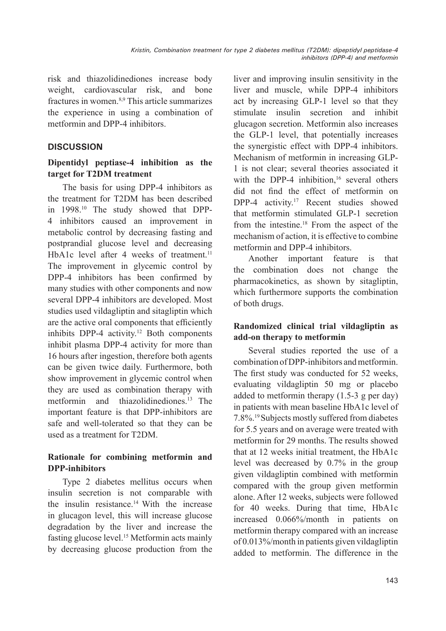risk and thiazolidinediones increase body weight, cardiovascular risk, and bone fractures in women.8,9 This article summarizes the experience in using a combination of metformin and DPP-4 inhibitors.

#### **DISCUSSION**

## **Dipentidyl peptiase-4 inhibition as the target for T2DM treatment**

The basis for using DPP-4 inhibitors as the treatment for T2DM has been described in 1998.10 The study showed that DPP-4 inhibitors caused an improvement in metabolic control by decreasing fasting and postprandial glucose level and decreasing HbA1c level after 4 weeks of treatment.<sup>11</sup> The improvement in glycemic control by DPP-4 inhibitors has been confirmed by many studies with other components and now several DPP-4 inhibitors are developed. Most studies used vildagliptin and sitagliptin which are the active oral components that efficiently inhibits DPP-4 activity.<sup>12</sup> Both components inhibit plasma DPP-4 activity for more than 16 hours after ingestion, therefore both agents can be given twice daily. Furthermore, both show improvement in glycemic control when they are used as combination therapy with metformin and thiazolidinediones.13 The important feature is that DPP-inhibitors are safe and well-tolerated so that they can be used as a treatment for T2DM.

## **Rationale for combining metformin and DPP-inhibitors**

Type 2 diabetes mellitus occurs when insulin secretion is not comparable with the insulin resistance.14 With the increase in glucagon level, this will increase glucose degradation by the liver and increase the fasting glucose level.15 Metformin acts mainly by decreasing glucose production from the liver and improving insulin sensitivity in the liver and muscle, while DPP-4 inhibitors act by increasing GLP-1 level so that they stimulate insulin secretion and inhibit glucagon secretion. Metformin also increases the GLP-1 level, that potentially increases the synergistic effect with DPP-4 inhibitors. Mechanism of metformin in increasing GLP-1 is not clear; several theories associated it with the DPP-4 inhibition.<sup>16</sup> several others did not find the effect of metformin on DPP-4 activity.<sup>17</sup> Recent studies showed that metformin stimulated GLP-1 secretion from the intestine.18 From the aspect of the mechanism of action, it is effective to combine metformin and DPP-4 inhibitors.

Another important feature is that the combination does not change the pharmacokinetics, as shown by sitagliptin, which furthermore supports the combination of both drugs.

## **Randomized clinical trial vildagliptin as add-on therapy to metformin**

Several studies reported the use of a combination of DPP-inhibitors and metformin. The first study was conducted for 52 weeks, evaluating vildagliptin 50 mg or placebo added to metformin therapy (1.5-3 g per day) in patients with mean baseline HbA1c level of 7.8%.19 Subjects mostly suffered from diabetes for 5.5 years and on average were treated with metformin for 29 months. The results showed that at 12 weeks initial treatment, the HbA1c level was decreased by 0.7% in the group given vildagliptin combined with metformin compared with the group given metformin alone. After 12 weeks, subjects were followed for 40 weeks. During that time, HbA1c increased 0.066%/month in patients on metformin therapy compared with an increase of 0.013%/month in patients given vildagliptin added to metformin. The difference in the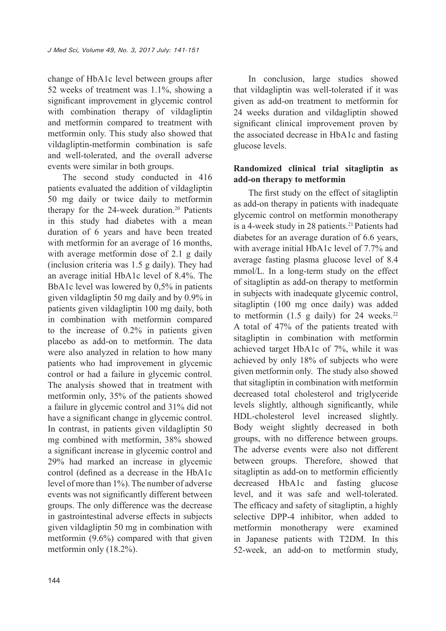change of HbA1c level between groups after 52 weeks of treatment was 1.1%, showing a significant improvement in glycemic control with combination therapy of vildagliptin and metformin compared to treatment with metformin only. This study also showed that vildagliptin-metformin combination is safe and well-tolerated, and the overall adverse events were similar in both groups.

The second study conducted in 416 patients evaluated the addition of vildagliptin 50 mg daily or twice daily to metformin therapy for the  $24$ -week duration.<sup>20</sup> Patients in this study had diabetes with a mean duration of 6 years and have been treated with metformin for an average of 16 months, with average metformin dose of 2.1 g daily (inclusion criteria was 1.5 g daily). They had an average initial HbA1c level of 8.4%. The BbA1c level was lowered by 0,5% in patients given vildagliptin 50 mg daily and by 0.9% in patients given vildagliptin 100 mg daily, both in combination with metformin compared to the increase of 0.2% in patients given placebo as add-on to metformin. The data were also analyzed in relation to how many patients who had improvement in glycemic control or had a failure in glycemic control. The analysis showed that in treatment with metformin only, 35% of the patients showed a failure in glycemic control and 31% did not have a significant change in glycemic control. In contrast, in patients given vildagliptin 50 mg combined with metformin, 38% showed a significant increase in glycemic control and 29% had marked an increase in glycemic control (defined as a decrease in the HbA1c level of more than 1%). The number of adverse events was not significantly different between groups. The only difference was the decrease in gastrointestinal adverse effects in subjects given vildagliptin 50 mg in combination with metformin (9.6%) compared with that given metformin only (18.2%).

In conclusion, large studies showed that vildagliptin was well-tolerated if it was given as add-on treatment to metformin for 24 weeks duration and vildagliptin showed significant clinical improvement proven by the associated decrease in HbA1c and fasting glucose levels.

#### **Randomized clinical trial sitagliptin as add-on therapy to metformin**

The first study on the effect of sitagliptin as add-on therapy in patients with inadequate glycemic control on metformin monotherapy is a 4-week study in 28 patients.<sup>21</sup> Patients had diabetes for an average duration of 6.6 years, with average initial HbA1c level of 7.7% and average fasting plasma glucose level of 8.4 mmol/L. In a long-term study on the effect of sitagliptin as add-on therapy to metformin in subjects with inadequate glycemic control, sitagliptin (100 mg once daily) was added to metformin  $(1.5 \text{ g daily})$  for 24 weeks.<sup>22</sup> A total of 47% of the patients treated with sitagliptin in combination with metformin achieved target HbA1c of 7%, while it was achieved by only 18% of subjects who were given metformin only. The study also showed that sitagliptin in combination with metformin decreased total cholesterol and triglyceride levels slightly, although significantly, while HDL-cholesterol level increased slightly. Body weight slightly decreased in both groups, with no difference between groups. The adverse events were also not different between groups. Therefore, showed that sitagliptin as add-on to metformin efficiently decreased HbA1c and fasting glucose level, and it was safe and well-tolerated. The efficacy and safety of sitagliptin, a highly selective DPP-4 inhibitor, when added to metformin monotherapy were examined in Japanese patients with T2DM. In this 52-week, an add-on to metformin study,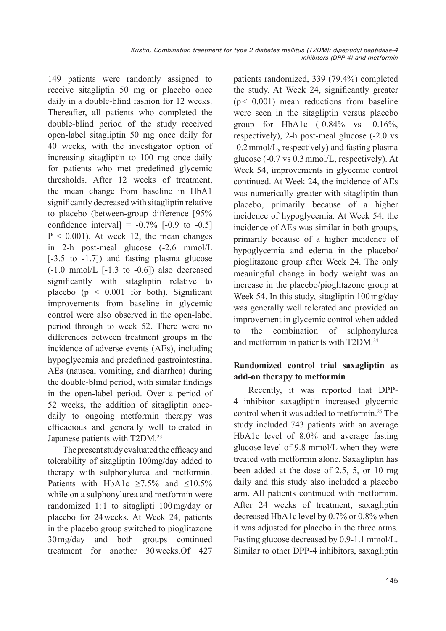149 patients were randomly assigned to receive sitagliptin 50 mg or placebo once daily in a double-blind fashion for 12 weeks. Thereafter, all patients who completed the double-blind period of the study received open-label sitagliptin 50 mg once daily for 40 weeks, with the investigator option of increasing sitagliptin to 100 mg once daily for patients who met predefined glycemic thresholds. After 12 weeks of treatment, the mean change from baseline in HbA1 significantly decreased with sitagliptin relative to placebo (between-group difference [95% confidence interval =  $-0.7\%$  [ $-0.9$  to  $-0.5$ ]  $P < 0.001$ ). At week 12, the mean changes in 2-h post-meal glucose (-2.6 mmol/L [-3.5 to -1.7]) and fasting plasma glucose  $(-1.0 \text{ mmol/L} [-1.3 \text{ to } -0.6])$  also decreased significantly with sitagliptin relative to placebo ( $p \le 0.001$  for both). Significant improvements from baseline in glycemic control were also observed in the open-label period through to week 52. There were no differences between treatment groups in the incidence of adverse events (AEs), including hypoglycemia and predefined gastrointestinal AEs (nausea, vomiting, and diarrhea) during the double-blind period, with similar findings in the open-label period. Over a period of 52 weeks, the addition of sitagliptin oncedaily to ongoing metformin therapy was efficacious and generally well tolerated in Japanese patients with T2DM.23

The present study evaluated the efficacyand tolerability of sitagliptin 100mg/day added to therapy with sulphonylurea and metformin. Patients with HbA1c  $\geq$ 7.5% and  $\leq$ 10.5% while on a sulphonylurea and metformin were randomized 1: 1 to sitaglipti 100mg/day or placebo for 24weeks. At Week 24, patients in the placebo group switched to pioglitazone 30mg/day and both groups continued treatment for another 30weeks.Of 427 patients randomized, 339 (79.4%) completed the study. At Week 24, significantly greater  $(p < 0.001)$  mean reductions from baseline were seen in the sitagliptin versus placebo group for HbA1c  $(-0.84\% \text{ vs } -0.16\%$ , respectively), 2-h post-meal glucose (-2.0 vs -0.2mmol/L, respectively) and fasting plasma glucose (-0.7 vs 0.3mmol/L, respectively). At Week 54, improvements in glycemic control continued. At Week 24, the incidence of AEs was numerically greater with sitagliptin than placebo, primarily because of a higher incidence of hypoglycemia. At Week 54, the incidence of AEs was similar in both groups, primarily because of a higher incidence of hypoglycemia and edema in the placebo/ pioglitazone group after Week 24. The only meaningful change in body weight was an increase in the placebo/pioglitazone group at Week 54. In this study, sitagliptin 100mg/day was generally well tolerated and provided an improvement in glycemic control when added to the combination of sulphonylurea and metformin in patients with T2DM.24

# **Randomized control trial saxagliptin as add-on therapy to metformin**

Recently, it was reported that DPP-4 inhibitor saxagliptin increased glycemic control when it was added to metformin.<sup>25</sup> The study included 743 patients with an average HbA1c level of 8.0% and average fasting glucose level of 9.8 mmol/L when they were treated with metformin alone. Saxagliptin has been added at the dose of 2.5, 5, or 10 mg daily and this study also included a placebo arm. All patients continued with metformin. After 24 weeks of treatment, saxagliptin decreased HbA1c level by 0.7% or 0.8% when it was adjusted for placebo in the three arms. Fasting glucose decreased by 0.9-1.1 mmol/L. Similar to other DPP-4 inhibitors, saxagliptin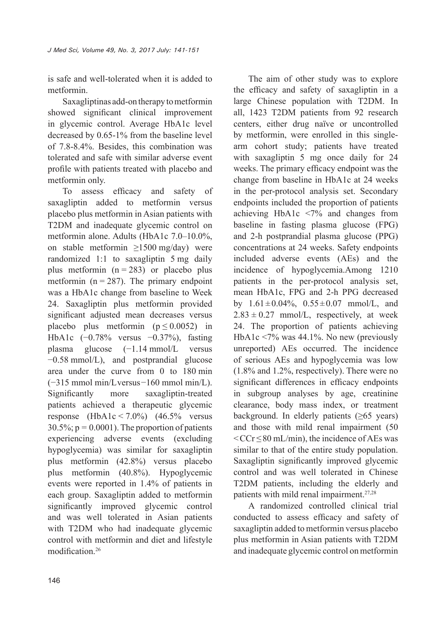is safe and well-tolerated when it is added to metformin.

Saxagliptinas add-on therapy to metformin showed significant clinical improvement in glycemic control. Average HbA1c level decreased by 0.65-1% from the baseline level of 7.8-8.4%. Besides, this combination was tolerated and safe with similar adverse event profile with patients treated with placebo and metformin only.

To assess efficacy and safety of saxagliptin added to metformin versus placebo plus metformin in Asian patients with T2DM and inadequate glycemic control on metformin alone. Adults (HbA1c 7.0–10.0%, on stable metformin ≥1500 mg/day) were randomized 1:1 to saxagliptin 5 mg daily plus metformin  $(n = 283)$  or placebo plus metformin ( $n = 287$ ). The primary endpoint was a HbA1c change from baseline to Week 24. Saxagliptin plus metformin provided significant adjusted mean decreases versus placebo plus metformin ( $p \le 0.0052$ ) in HbA1c (−0.78% versus −0.37%), fasting plasma glucose (−1.14 mmol/L versus −0.58 mmol/L), and postprandial glucose area under the curve from 0 to 180 min (−315 mmol min/L versus −160 mmol min/L). Significantly more saxagliptin-treated patients achieved a therapeutic glycemic response  $(HbA1c \le 7.0\%)$   $(46.5\%$  versus  $30.5\%$ ;  $p = 0.0001$ ). The proportion of patients experiencing adverse events (excluding hypoglycemia) was similar for saxagliptin plus metformin (42.8%) versus placebo plus metformin (40.8%). Hypoglycemic events were reported in 1.4% of patients in each group. Saxagliptin added to metformin significantly improved glycemic control and was well tolerated in Asian patients with T2DM who had inadequate glycemic control with metformin and diet and lifestyle modification.<sup>26</sup>

The aim of other study was to explore the efficacy and safety of saxagliptin in a large Chinese population with T2DM. In all, 1423 T2DM patients from 92 research centers, either drug naïve or uncontrolled by metformin, were enrolled in this singlearm cohort study; patients have treated with saxagliptin 5 mg once daily for 24 weeks. The primary efficacy endpoint was the change from baseline in HbA1c at 24 weeks in the per-protocol analysis set. Secondary endpoints included the proportion of patients achieving HbA1c <7% and changes from baseline in fasting plasma glucose (FPG) and 2-h postprandial plasma glucose (PPG) concentrations at 24 weeks. Safety endpoints included adverse events (AEs) and the incidence of hypoglycemia.Among 1210 patients in the per-protocol analysis set, mean HbA1c, FPG and 2-h PPG decreased by  $1.61 \pm 0.04\%$ ,  $0.55 \pm 0.07$  mmol/L, and  $2.83 \pm 0.27$  mmol/L, respectively, at week 24. The proportion of patients achieving HbA1c <7% was 44.1%. No new (previously unreported) AEs occurred. The incidence of serious AEs and hypoglycemia was low (1.8% and 1.2%, respectively). There were no significant differences in efficacy endpoints in subgroup analyses by age, creatinine clearance, body mass index, or treatment background. In elderly patients  $(≥65 \text{ years})$ and those with mild renal impairment (50  $\leq$  CCr $\leq$  80 mL/min), the incidence of AEs was similar to that of the entire study population. Saxagliptin significantly improved glycemic control and was well tolerated in Chinese T2DM patients, including the elderly and patients with mild renal impairment.27,28

A randomized controlled clinical trial conducted to assess efficacy and safety of saxagliptin added to metformin versus placebo plus metformin in Asian patients with T2DM and inadequate glycemic control on metformin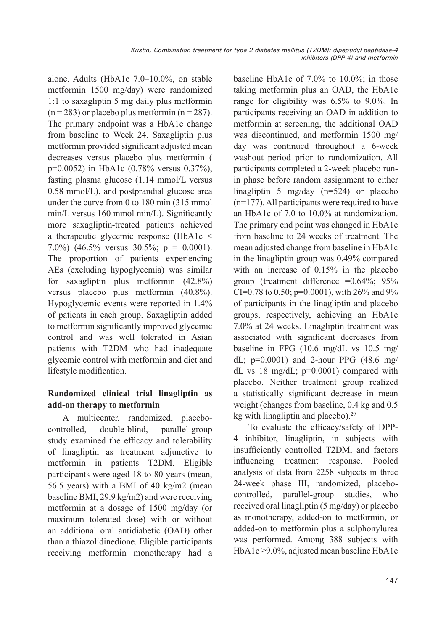alone. Adults (HbA1c 7.0–10.0%, on stable metformin 1500 mg/day) were randomized 1:1 to saxagliptin 5 mg daily plus metformin  $(n = 283)$  or placebo plus metformin  $(n = 287)$ . The primary endpoint was a HbA1c change from baseline to Week 24. Saxagliptin plus metformin provided significant adjusted mean decreases versus placebo plus metformin ( p=0.0052) in HbA1c (0.78% versus 0.37%), fasting plasma glucose (1.14 mmol/L versus 0.58 mmol/L), and postprandial glucose area under the curve from 0 to 180 min (315 mmol min/L versus 160 mmol min/L). Significantly more saxagliptin-treated patients achieved a therapeutic glycemic response (HbA1c < 7.0%) (46.5% versus  $30.5\%$ ; p = 0.0001). The proportion of patients experiencing AEs (excluding hypoglycemia) was similar for saxagliptin plus metformin (42.8%) versus placebo plus metformin (40.8%). Hypoglycemic events were reported in 1.4% of patients in each group. Saxagliptin added to metformin significantly improved glycemic control and was well tolerated in Asian patients with T2DM who had inadequate glycemic control with metformin and diet and lifestyle modification.

## **Randomized clinical trial linagliptin as add-on therapy to metformin**

A multicenter, randomized, placebocontrolled, double-blind, parallel-group study examined the efficacy and tolerability of linagliptin as treatment adjunctive to metformin in patients T2DM. Eligible participants were aged 18 to 80 years (mean, 56.5 years) with a BMI of 40 kg/m2 (mean baseline BMI, 29.9 kg/m2) and were receiving metformin at a dosage of 1500 mg/day (or maximum tolerated dose) with or without an additional oral antidiabetic (OAD) other than a thiazolidinedione. Eligible participants receiving metformin monotherapy had a baseline HbA1c of 7.0% to 10.0%; in those taking metformin plus an OAD, the HbA1c range for eligibility was 6.5% to 9.0%. In participants receiving an OAD in addition to metformin at screening, the additional OAD was discontinued, and metformin 1500 mg/ day was continued throughout a 6-week washout period prior to randomization. All participants completed a 2-week placebo runin phase before random assignment to either linagliptin 5 mg/day (n=524) or placebo  $(n=177)$ . All participants were required to have an HbA1c of 7.0 to 10.0% at randomization. The primary end point was changed in HbA1c from baseline to 24 weeks of treatment. The mean adjusted change from baseline in HbA1c in the linagliptin group was 0.49% compared with an increase of 0.15% in the placebo group (treatment difference =0.64%; 95% CI=0.78 to 0.50; p=0.0001), with  $26\%$  and  $9\%$ of participants in the linagliptin and placebo groups, respectively, achieving an HbA1c 7.0% at 24 weeks. Linagliptin treatment was associated with significant decreases from baseline in FPG (10.6 mg/dL vs 10.5 mg/ dL; p=0.0001) and 2-hour PPG (48.6 mg/ dL vs 18 mg/dL; p=0.0001) compared with placebo. Neither treatment group realized a statistically significant decrease in mean weight (changes from baseline, 0.4 kg and 0.5 kg with linagliptin and placebo).<sup>29</sup>

To evaluate the efficacy/safety of DPP-4 inhibitor, linagliptin, in subjects with insufficiently controlled T2DM, and factors influencing treatment response. Pooled analysis of data from 2258 subjects in three 24-week phase III, randomized, placebocontrolled, parallel-group studies, who received oral linagliptin (5 mg/day) or placebo as monotherapy, added-on to metformin, or added-on to metformin plus a sulphonylurea was performed. Among 388 subjects with HbA1c ≥9.0%, adjusted mean baseline HbA1c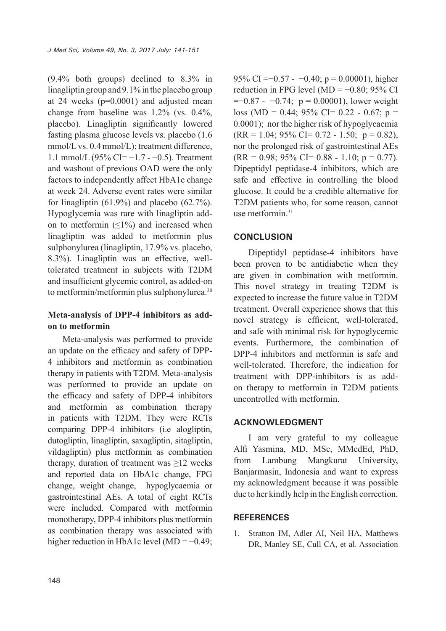(9.4% both groups) declined to 8.3% in linagliptin group and 9.1% in the placebo group at 24 weeks (p=0.0001) and adjusted mean change from baseline was 1.2% (vs. 0.4%, placebo). Linagliptin significantly lowered fasting plasma glucose levels vs. placebo (1.6 mmol/L vs. 0.4 mmol/L); treatment difference, 1.1 mmol/L (95% CI= −1.7 - −0.5). Treatment and washout of previous OAD were the only factors to independently affect HbA1c change at week 24. Adverse event rates were similar for linagliptin  $(61.9\%)$  and placebo  $(62.7\%)$ . Hypoglycemia was rare with linagliptin addon to metformin  $(\leq 1\%)$  and increased when linagliptin was added to metformin plus sulphonylurea (linagliptin, 17.9% vs. placebo, 8.3%). Linagliptin was an effective, welltolerated treatment in subjects with T2DM and insufficient glycemic control, as added-on to metformin/metformin plus sulphonylurea.<sup>30</sup>

#### **Meta-analysis of DPP-4 inhibitors as addon to metformin**

Meta-analysis was performed to provide an update on the efficacy and safety of DPP-4 inhibitors and metformin as combination therapy in patients with T2DM. Meta-analysis was performed to provide an update on the efficacy and safety of DPP-4 inhibitors and metformin as combination therapy in patients with T2DM. They were RCTs comparing DPP-4 inhibitors (i.e alogliptin, dutogliptin, linagliptin, saxagliptin, sitagliptin, vildagliptin) plus metformin as combination therapy, duration of treatment was  $\geq$ 12 weeks and reported data on HbA1c change, FPG change, weight change, hypoglycaemia or gastrointestinal AEs. A total of eight RCTs were included. Compared with metformin monotherapy, DPP-4 inhibitors plus metformin as combination therapy was associated with higher reduction in HbA1c level  $(MD = -0.49)$ ; 95% CI = $-0.57 - 0.40$ ; p = 0.00001), higher reduction in FPG level (MD =  $-0.80$ ; 95% CI  $=$  −0.87 - −0.74; p = 0.00001), lower weight loss (MD = 0.44; 95% CI= 0.22 - 0.67; p = 0.0001); nor the higher risk of hypoglycaemia  $(RR = 1.04; 95\% \text{ CI} = 0.72 - 1.50; \text{ p} = 0.82),$ nor the prolonged risk of gastrointestinal AEs  $(RR = 0.98; 95\% \text{ CI} = 0.88 - 1.10; \text{ p} = 0.77).$ Dipeptidyl peptidase-4 inhibitors, which are safe and effective in controlling the blood glucose. It could be a credible alternative for T2DM patients who, for some reason, cannot use metformin $31$ 

#### **CONCLUSION**

Dipeptidyl peptidase-4 inhibitors have been proven to be antidiabetic when they are given in combination with metformin. This novel strategy in treating T2DM is expected to increase the future value in T2DM treatment. Overall experience shows that this novel strategy is efficient, well-tolerated, and safe with minimal risk for hypoglycemic events. Furthermore, the combination of DPP-4 inhibitors and metformin is safe and well-tolerated. Therefore, the indication for treatment with DPP-inhibitors is as addon therapy to metformin in T2DM patients uncontrolled with metformin.

#### **ACKNOWLEDGMENT**

I am very grateful to my colleague Alfi Yasmina, MD, MSc, MMedEd, PhD, from Lambung Mangkurat University, Banjarmasin, Indonesia and want to express my acknowledgment because it was possible due to her kindly help in the English correction.

#### **REFERENCES**

1. Stratton IM, Adler AI, Neil HA, Matthews DR, Manley SE, Cull CA, et al. Association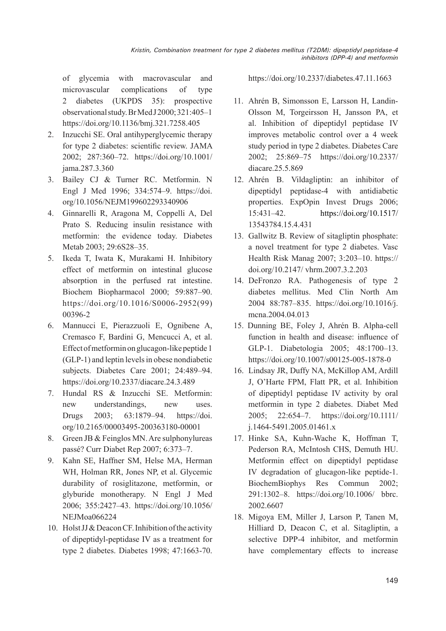of glycemia with macrovascular and microvascular complications of type 2 diabetes (UKPDS 35): prospective observational study. Br Med J 2000; 321:405–1 https://doi.org/10.1136/bmj.321.7258.405

- 2. Inzucchi SE. Oral antihyperglycemic therapy for type 2 diabetes: scientific review. JAMA 2002; 287:360–72. https://doi.org/10.1001/ jama.287.3.360
- 3. Bailey CJ & Turner RC. Metformin. N Engl J Med 1996; 334:574–9. https://doi. org/10.1056/NEJM199602293340906
- 4. Ginnarelli R, Aragona M, Coppelli A, Del Prato S. Reducing insulin resistance with metformin: the evidence today. Diabetes Metab 2003; 29:6S28–35.
- 5. Ikeda T, Iwata K, Murakami H. Inhibitory effect of metformin on intestinal glucose absorption in the perfused rat intestine. Biochem Biopharmacol 2000; 59:887–90. https://doi.org/10.1016/S0006-2952(99) 00396-2
- 6. Mannucci E, Pierazzuoli E, Ognibene A, Cremasco F, Bardini G, Mencucci A, et al. Effect of metformin on glucagon-like peptide 1 (GLP-1) and leptin levels in obese nondiabetic subjects. Diabetes Care 2001; 24:489–94. https://doi.org/10.2337/diacare.24.3.489
- 7. Hundal RS & Inzucchi SE. Metformin: new understandings, new uses. Drugs 2003; 63:1879–94. https://doi. org/10.2165/00003495-200363180-00001
- 8. Green JB & Feinglos MN. Are sulphonylureas passé? Curr Diabet Rep 2007; 6:373–7.
- 9. Kahn SE, Haffner SM, Helse MA, Herman WH, Holman RR, Jones NP, et al. Glycemic durability of rosiglitazone, metformin, or glyburide monotherapy. N Engl J Med 2006; 355:2427–43. https://doi.org/10.1056/ NEJMoa066224
- 10. Holst JJ & Deacon CF. Inhibition of the activity of dipeptidyl-peptidase IV as a treatment for type 2 diabetes. Diabetes 1998; 47:1663-70.

https://doi.org/10.2337/diabetes.47.11.1663

- 11. Ahrén B, Simonsson E, Larsson H, Landin-Olsson M, Torgeirsson H, Jansson PA, et al. Inhibition of dipeptidyl peptidase IV improves metabolic control over a 4 week study period in type 2 diabetes. Diabetes Care 2002; 25:869–75 https://doi.org/10.2337/ diacare.25.5.869
- 12. Ahrén B. Vildagliptin: an inhibitor of dipeptidyl peptidase-4 with antidiabetic properties. ExpOpin Invest Drugs 2006; 15:431–42. https://doi.org/10.1517/ 13543784.15.4.431
- 13. Gallwitz B. Review of sitagliptin phosphate: a novel treatment for type 2 diabetes. Vasc Health Risk Manag 2007; 3:203–10. https:// doi.org/10.2147/ vhrm.2007.3.2.203
- 14. DeFronzo RA. Pathogenesis of type 2 diabetes mellitus. Med Clin North Am 2004 88:787–835. https://doi.org/10.1016/j. mcna.2004.04.013
- 15. Dunning BE, Foley J, Ahrén B. Alpha-cell function in health and disease: influence of GLP-1. Diabetologia 2005; 48:1700–13. https://doi.org/10.1007/s00125-005-1878-0
- 16. Lindsay JR, Duffy NA, McKillop AM, Ardill J, O'Harte FPM, Flatt PR, et al. Inhibition of dipeptidyl peptidase IV activity by oral metformin in type 2 diabetes. Diabet Med 2005; 22:654–7. https://doi.org/10.1111/ j.1464-5491.2005.01461.x
- 17. Hinke SA, Kuhn-Wache K, Hoffman T, Pederson RA, McIntosh CHS, Demuth HU. Metformin effect on dipeptidyl peptidase IV degradation of glucagon-like peptide-1. BiochemBiophys Res Commun 2002; 291:1302–8. https://doi.org/10.1006/ bbrc. 2002.6607
- 18. Migoya EM, Miller J, Larson P, Tanen M, Hilliard D, Deacon C, et al. Sitagliptin, a selective DPP-4 inhibitor, and metformin have complementary effects to increase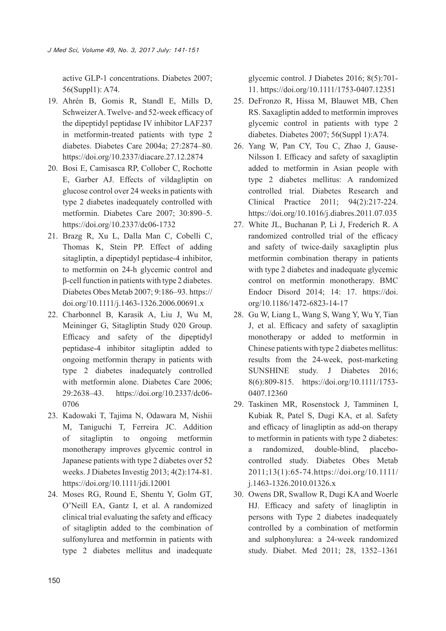active GLP-1 concentrations. Diabetes 2007; 56(Suppl1): A74.

- 19. Ahrén B, Gomis R, Standl E, Mills D, Schweizer A. Twelve- and 52-week efficacy of the dipeptidyl peptidase IV inhibitor LAF237 in metformin-treated patients with type 2 diabetes. Diabetes Care 2004a; 27:2874–80. https://doi.org/10.2337/diacare.27.12.2874
- 20. Bosi E, Camisasca RP, Collober C, Rochotte E, Garber AJ. Effects of vildagliptin on glucose control over 24 weeks in patients with type 2 diabetes inadequately controlled with metformin. Diabetes Care 2007; 30:890–5. https://doi.org/10.2337/dc06-1732
- 21. Brazg R, Xu L, Dalla Man C, Cobelli C, Thomas K, Stein PP. Effect of adding sitagliptin, a dipeptidyl peptidase-4 inhibitor, to metformin on 24-h glycemic control and β-cell function in patients with type 2 diabetes. Diabetes Obes Metab 2007; 9:186–93. https:// doi.org/10.1111/j.1463-1326.2006.00691.x
- 22. Charbonnel B, Karasik A, Liu J, Wu M, Meininger G, Sitagliptin Study 020 Group. Efficacy and safety of the dipeptidyl peptidase-4 inhibitor sitagliptin added to ongoing metformin therapy in patients with type 2 diabetes inadequately controlled with metformin alone. Diabetes Care 2006; 29:2638–43. https://doi.org/10.2337/dc06- 0706
- 23. Kadowaki T, Tajima N, Odawara M, Nishii M, Taniguchi T, Ferreira JC. Addition of sitagliptin to ongoing metformin monotherapy improves glycemic control in Japanese patients with type 2 diabetes over 52 weeks. J Diabetes Investig 2013; 4(2):174-81. https://doi.org/10.1111/jdi.12001
- 24. Moses RG, Round E, Shentu Y, Golm GT, O'Neill EA, Gantz I, et al. A randomized clinical trial evaluating the safety and efficacy of sitagliptin added to the combination of sulfonylurea and metformin in patients with type 2 diabetes mellitus and inadequate

glycemic control. J Diabetes 2016; 8(5):701- 11. https://doi.org/10.1111/1753-0407.12351

- 25. DeFronzo R, Hissa M, Blauwet MB, Chen RS. Saxagliptin added to metformin improves glycemic control in patients with type 2 diabetes. Diabetes 2007; 56(Suppl 1):A74.
- 26. Yang W, Pan CY, Tou C, Zhao J, Gause-Nilsson I. Efficacy and safety of saxagliptin added to metformin in Asian people with type 2 diabetes mellitus: A randomized controlled trial. Diabetes Research and Clinical Practice 2011; 94(2):217-224. https://doi.org/10.1016/j.diabres.2011.07.035
- 27. White JL, Buchanan P, Li J, Frederich R. A randomized controlled trial of the efficacy and safety of twice-daily saxagliptin plus metformin combination therapy in patients with type 2 diabetes and inadequate glycemic control on metformin monotherapy. BMC Endocr Disord 2014; 14: 17. https://doi. org/10.1186/1472-6823-14-17
- 28. Gu W, Liang L, Wang S, Wang Y, Wu Y, Tian J, et al. Efficacy and safety of saxagliptin monotherapy or added to metformin in Chinese patients with type 2 diabetes mellitus: results from the 24-week, post-marketing SUNSHINE study. J Diabetes 2016; 8(6):809-815. https://doi.org/10.1111/1753- 0407.12360
- 29. Taskinen MR, Rosenstock J, Tamminen I, Kubiak R, Patel S, Dugi KA, et al. Safety and efficacy of linagliptin as add-on therapy to metformin in patients with type 2 diabetes: a randomized, double-blind, placebocontrolled study. Diabetes Obes Metab 2011;13(1):65-74.https://doi.org/10.1111/ j.1463-1326.2010.01326.x
- 30. Owens DR, Swallow R, Dugi KA and Woerle HJ. Efficacy and safety of linagliptin in persons with Type 2 diabetes inadequately controlled by a combination of metformin and sulphonylurea: a 24-week randomized study. Diabet. Med 2011; 28, 1352–1361